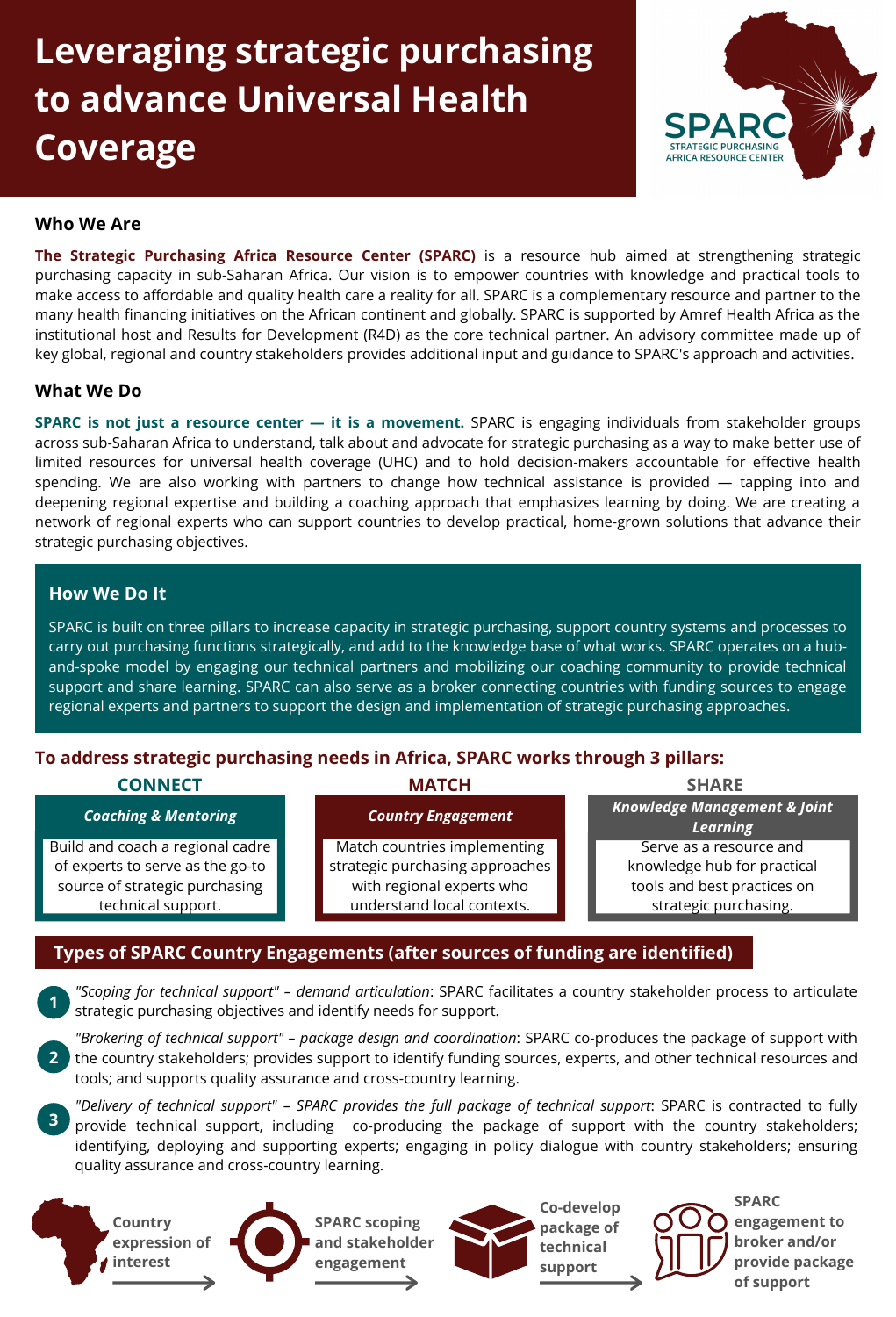# **Leveraging strategic purchasing to advance Universal Health Coverage**



#### **Who We Are**

**The Strategic Purchasing Africa Resource Center (SPARC)** is a resource hub aimed at strengthening strategic purchasing capacity in sub-Saharan Africa. Our vision is to empower countries with knowledge and practical tools to make access to affordable and quality health care a reality for all. SPARC is a complementary resource and partner to the many health financing initiatives on the African continent and globally. SPARC is supported by Amref Health Africa as the institutional host and Results for Development (R4D) as the core technical partner. An advisory committee made up of key global, regional and country stakeholders provides additional input and guidance to SPARC's approach and activities.

#### **What We Do**

**SPARC is not just a resource center — it is a movement.** SPARC is engaging individuals from stakeholder groups across sub-Saharan Africa to understand, talk about and advocate for strategic purchasing as a way to make better use of limited resources for universal health coverage (UHC) and to hold decision-makers accountable for effective health spending. We are also working with partners to change how technical assistance is provided — tapping into and deepening regional expertise and building a coaching approach that emphasizes learning by doing. We are creating a network of regional experts who can support countries to develop practical, home-grown solutions that advance their strategic purchasing objectives.

#### **How We Do It**

SPARC is built on three pillars to increase capacity in strategic purchasing, support country systems and processes to carry out purchasing functions strategically, and add to the knowledge base of what works. SPARC operates on a huband-spoke model by engaging our technical partners and mobilizing our coaching community to provide technical support and share learning. SPARC can also serve as a broker connecting countries with funding sources to engage regional experts and partners to support the design and implementation of strategic purchasing approaches.

# **To address strategic purchasing needs in Africa, SPARC works through 3 pillars:**

#### **CONNECT MATCH SHARE**

#### *Coaching & Mentoring Country Engagement*

Build and coach a regional cadre of experts to serve as the go-to source of strategic purchasing technical support.

Match countries implementing strategic purchasing approaches with regional experts who understand local contexts.

*Knowledge Management & Joint Learning* Serve as a resource and knowledge hub for practical tools and best practices on strategic purchasing.

## **Types of SPARC Country Engagements (after sources of funding are identified)**

*"Scoping for technical support" – demand articulation*: SPARC facilitates a country stakeholder process to articulate strategic purchasing objectives and identify needs for support. **1**

*"Brokering of technical support" – package design and coordination*: SPARC co-produces the package of support with the country stakeholders; provides support to identify funding sources, experts, and other technical resources and tools; and supports quality assurance and cross-country learning. **2**

*"Delivery of technical support" – SPARC provides the full package of technical support*: SPARC is contracted to fully provide technical support, including co-producing the package of support with the country stakeholders; identifying, deploying and supporting experts; engaging in policy dialogue with country stakeholders; ensuring quality assurance and cross-country learning. **3**











**SPARC engagement to broker and/or provide package of support**